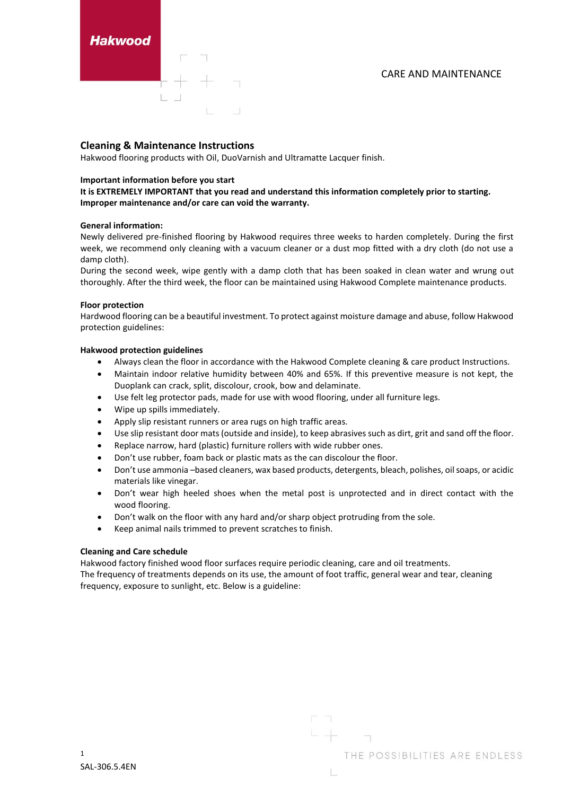Hakwood

# **Cleaning & Maintenance Instructions**

Hakwood flooring products with Oil, DuoVarnish and Ultramatte Lacquer finish.

# **Important information before you start**

**It is EXTREMELY IMPORTANT that you read and understand this information completely prior to starting. Improper maintenance and/or care can void the warranty.** 

### **General information:**

Newly delivered pre-finished flooring by Hakwood requires three weeks to harden completely. During the first week, we recommend only cleaning with a vacuum cleaner or a dust mop fitted with a dry cloth (do not use a damp cloth).

During the second week, wipe gently with a damp cloth that has been soaked in clean water and wrung out thoroughly. After the third week, the floor can be maintained using Hakwood Complete maintenance products.

### **Floor protection**

Hardwood flooring can be a beautiful investment. To protect against moisture damage and abuse, follow Hakwood protection guidelines:

# **Hakwood protection guidelines**

- Always clean the floor in accordance with the Hakwood Complete cleaning & care product Instructions.
- Maintain indoor relative humidity between 40% and 65%. If this preventive measure is not kept, the Duoplank can crack, split, discolour, crook, bow and delaminate.
- Use felt leg protector pads, made for use with wood flooring, under all furniture legs.
- Wipe up spills immediately.
- Apply slip resistant runners or area rugs on high traffic areas.
- Use slip resistant door mats (outside and inside), to keep abrasives such as dirt, grit and sand off the floor.
- Replace narrow, hard (plastic) furniture rollers with wide rubber ones.
- Don't use rubber, foam back or plastic mats as the can discolour the floor.
- Don't use ammonia –based cleaners, wax based products, detergents, bleach, polishes, oil soaps, or acidic materials like vinegar.
- Don't wear high heeled shoes when the metal post is unprotected and in direct contact with the wood flooring.
- Don't walk on the floor with any hard and/or sharp object protruding from the sole.
- Keep animal nails trimmed to prevent scratches to finish.

### **Cleaning and Care schedule**

Hakwood factory finished wood floor surfaces require periodic cleaning, care and oil treatments. The frequency of treatments depends on its use, the amount of foot traffic, general wear and tear, cleaning frequency, exposure to sunlight, etc. Below is a guideline: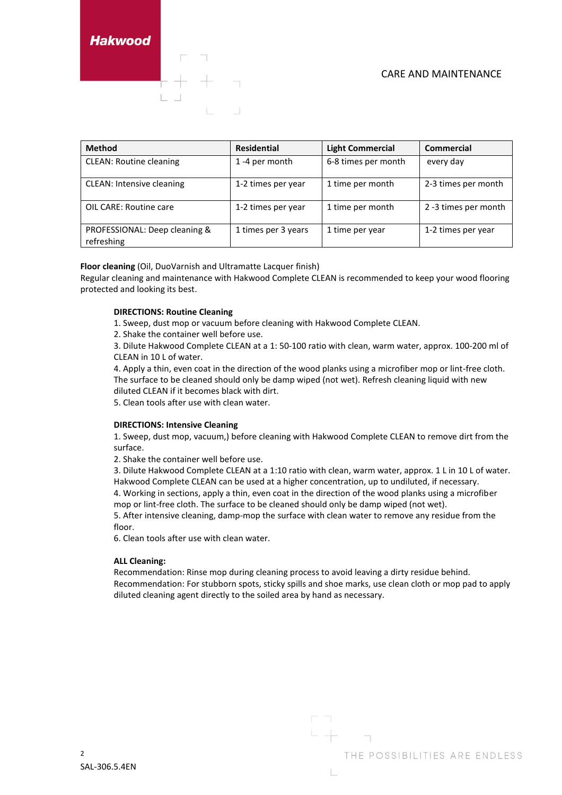CARE AND MAINTENANCE

Hakwood

| <b>Method</b>                               | <b>Residential</b>  | <b>Light Commercial</b> | <b>Commercial</b>    |
|---------------------------------------------|---------------------|-------------------------|----------------------|
| <b>CLEAN: Routine cleaning</b>              | 1-4 per month       | 6-8 times per month     | every day            |
| <b>CLEAN: Intensive cleaning</b>            | 1-2 times per year  | 1 time per month        | 2-3 times per month  |
| OIL CARE: Routine care                      | 1-2 times per year  | 1 time per month        | 2 -3 times per month |
| PROFESSIONAL: Deep cleaning &<br>refreshing | 1 times per 3 years | 1 time per year         | 1-2 times per year   |

# **Floor cleaning** (Oil, DuoVarnish and Ultramatte Lacquer finish)

Regular cleaning and maintenance with Hakwood Complete CLEAN is recommended to keep your wood flooring protected and looking its best.

### **DIRECTIONS: Routine Cleaning**

1. Sweep, dust mop or vacuum before cleaning with Hakwood Complete CLEAN.

2. Shake the container well before use.

3. Dilute Hakwood Complete CLEAN at a 1: 50-100 ratio with clean, warm water, approx. 100-200 ml of CLEAN in 10 L of water.

4. Apply a thin, even coat in the direction of the wood planks using a microfiber mop or lint-free cloth. The surface to be cleaned should only be damp wiped (not wet). Refresh cleaning liquid with new diluted CLEAN if it becomes black with dirt.

5. Clean tools after use with clean water.

### **DIRECTIONS: Intensive Cleaning**

1. Sweep, dust mop, vacuum,) before cleaning with Hakwood Complete CLEAN to remove dirt from the surface.

2. Shake the container well before use.

3. Dilute Hakwood Complete CLEAN at a 1:10 ratio with clean, warm water, approx. 1 L in 10 L of water. Hakwood Complete CLEAN can be used at a higher concentration, up to undiluted, if necessary.

4. Working in sections, apply a thin, even coat in the direction of the wood planks using a microfiber mop or lint-free cloth. The surface to be cleaned should only be damp wiped (not wet).

5. After intensive cleaning, damp-mop the surface with clean water to remove any residue from the floor.

6. Clean tools after use with clean water.

### **ALL Cleaning:**

Recommendation: Rinse mop during cleaning process to avoid leaving a dirty residue behind. Recommendation: For stubborn spots, sticky spills and shoe marks, use clean cloth or mop pad to apply diluted cleaning agent directly to the soiled area by hand as necessary.